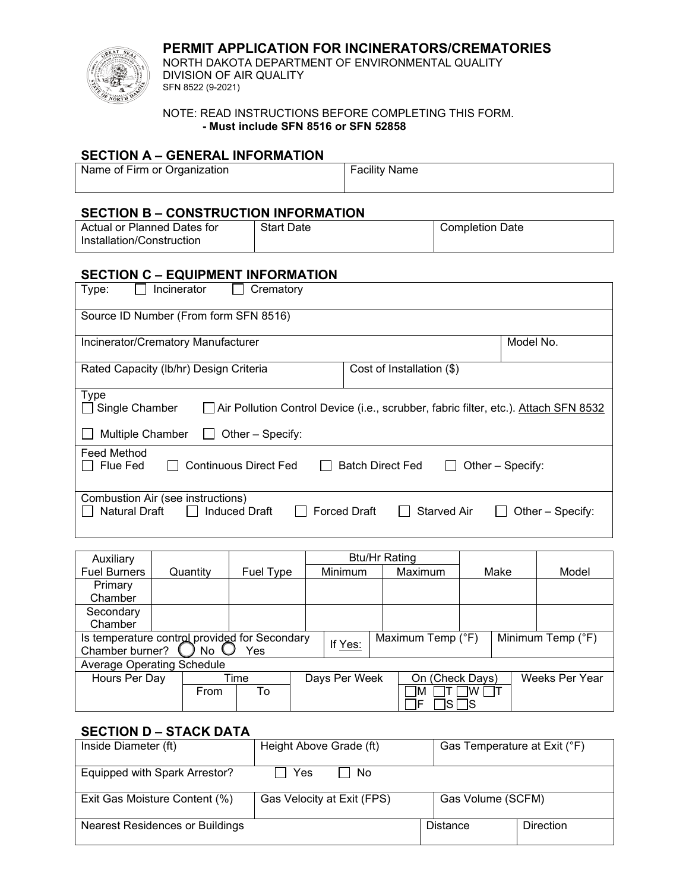**PERMIT APPLICATION FOR INCINERATORS/CREMATORIES**



NORTH DAKOTA DEPARTMENT OF ENVIRONMENTAL QUALITY DIVISION OF AIR QUALITY SFN 8522 (9-2021)

NOTE: READ INSTRUCTIONS BEFORE COMPLETING THIS FORM. **- Must include SFN 8516 or SFN 52858**

### **SECTION A – GENERAL INFORMATION**

| Name of Firm or Organization | <b>Facility Name</b> |  |  |  |  |
|------------------------------|----------------------|--|--|--|--|
|                              |                      |  |  |  |  |

## **SECTION B – CONSTRUCTION INFORMATION**

| Actual or Planned Dates for | <b>Start Date</b> | <b>Completion Date</b> |
|-----------------------------|-------------------|------------------------|
| Installation/Construction   |                   |                        |

# **SECTION C – EQUIPMENT INFORMATION**

| Incinerator<br>Type:<br>Crematory                                                                                                                            |                                                               |  |  |  |  |  |
|--------------------------------------------------------------------------------------------------------------------------------------------------------------|---------------------------------------------------------------|--|--|--|--|--|
| Source ID Number (From form SFN 8516)                                                                                                                        |                                                               |  |  |  |  |  |
| Incinerator/Crematory Manufacturer                                                                                                                           | Model No.                                                     |  |  |  |  |  |
| Rated Capacity (Ib/hr) Design Criteria                                                                                                                       | Cost of Installation (\$)                                     |  |  |  |  |  |
| <b>Type</b><br>Single Chamber<br>Air Pollution Control Device (i.e., scrubber, fabric filter, etc.). Attach SFN 8532<br>Multiple Chamber<br>Other - Specify: |                                                               |  |  |  |  |  |
| <b>Feed Method</b>                                                                                                                                           |                                                               |  |  |  |  |  |
| Flue Fed<br><b>Continuous Direct Fed</b>                                                                                                                     | <b>Batch Direct Fed</b><br>Other – Specify:                   |  |  |  |  |  |
| Combustion Air (see instructions)<br>Natural Draft<br><b>Induced Draft</b>                                                                                   | <b>Forced Draft</b><br><b>Starved Air</b><br>Other - Specify: |  |  |  |  |  |

| Auxiliary                                                                                          |          |           |  | <b>Btu/Hr Rating</b> |  |         |                 |  |                |  |
|----------------------------------------------------------------------------------------------------|----------|-----------|--|----------------------|--|---------|-----------------|--|----------------|--|
| <b>Fuel Burners</b>                                                                                | Quantity | Fuel Type |  | <b>Minimum</b>       |  | Maximum | Make            |  | Model          |  |
| Primary                                                                                            |          |           |  |                      |  |         |                 |  |                |  |
| Chamber                                                                                            |          |           |  |                      |  |         |                 |  |                |  |
| Secondary                                                                                          |          |           |  |                      |  |         |                 |  |                |  |
| Chamber                                                                                            |          |           |  |                      |  |         |                 |  |                |  |
| Is temperature control provided for Secondary<br>Minimum Temp (°F)<br>Maximum Temp (°F)<br>If Yes: |          |           |  |                      |  |         |                 |  |                |  |
| Chamber burner?<br>Yes<br>No.                                                                      |          |           |  |                      |  |         |                 |  |                |  |
| Average Operating Schedule                                                                         |          |           |  |                      |  |         |                 |  |                |  |
| Hours Per Day                                                                                      |          | Time      |  | Days Per Week        |  |         | On (Check Days) |  | Weeks Per Year |  |
|                                                                                                    | From     | To        |  |                      |  | ıм      | IW              |  |                |  |
|                                                                                                    |          |           |  |                      |  |         |                 |  |                |  |

## **SECTION D – STACK DATA**

| Inside Diameter (ft)                   | Height Above Grade (ft)    | Gas Temperature at Exit (°F) |                  |  |  |
|----------------------------------------|----------------------------|------------------------------|------------------|--|--|
| Equipped with Spark Arrestor?          | Yes<br>No.                 |                              |                  |  |  |
| Exit Gas Moisture Content (%)          | Gas Velocity at Exit (FPS) | Gas Volume (SCFM)            |                  |  |  |
| <b>Nearest Residences or Buildings</b> |                            | Distance                     | <b>Direction</b> |  |  |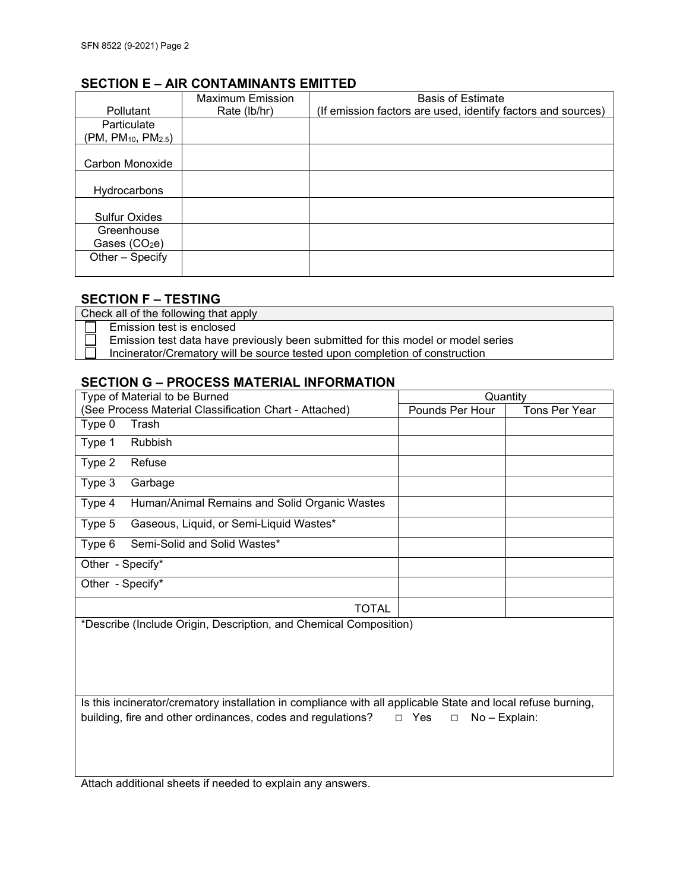## **SECTION E – AIR CONTAMINANTS EMITTED**

|                                             | Maximum Emission | <b>Basis of Estimate</b>                                     |
|---------------------------------------------|------------------|--------------------------------------------------------------|
| <b>Pollutant</b>                            | Rate (lb/hr)     | (If emission factors are used, identify factors and sources) |
| Particulate                                 |                  |                                                              |
| (PM, PM <sub>10</sub> , PM <sub>2.5</sub> ) |                  |                                                              |
|                                             |                  |                                                              |
| Carbon Monoxide                             |                  |                                                              |
|                                             |                  |                                                              |
| Hydrocarbons                                |                  |                                                              |
|                                             |                  |                                                              |
| <b>Sulfur Oxides</b>                        |                  |                                                              |
| Greenhouse                                  |                  |                                                              |
| Gases (CO <sub>2</sub> e)                   |                  |                                                              |
| Other - Specify                             |                  |                                                              |
|                                             |                  |                                                              |

## **SECTION F – TESTING**

Check all of the following that apply Emission test is enclosed Emission test data have previously been submitted for this model or model series Incinerator/Crematory will be source tested upon completion of construction

## **SECTION G – PROCESS MATERIAL INFORMATION**

| Type of Material to be Burned                           | Quantity        |               |  |  |
|---------------------------------------------------------|-----------------|---------------|--|--|
| (See Process Material Classification Chart - Attached)  | Pounds Per Hour | Tons Per Year |  |  |
| Type 0<br>Trash                                         |                 |               |  |  |
| Type 1<br><b>Rubbish</b>                                |                 |               |  |  |
| Type 2<br>Refuse                                        |                 |               |  |  |
| Type 3<br>Garbage                                       |                 |               |  |  |
| Type 4<br>Human/Animal Remains and Solid Organic Wastes |                 |               |  |  |
| Type 5<br>Gaseous, Liquid, or Semi-Liquid Wastes*       |                 |               |  |  |
| Semi-Solid and Solid Wastes*<br>Type 6                  |                 |               |  |  |
| Other - Specify*                                        |                 |               |  |  |
| Other - Specify*                                        |                 |               |  |  |
| TOTAL<br>.                                              |                 |               |  |  |

\*Describe (Include Origin, Description, and Chemical Composition)

Is this incinerator/crematory installation in compliance with all applicable State and local refuse burning, building, fire and other ordinances, codes and regulations? □ Yes □ No – Explain:

Attach additional sheets if needed to explain any answers.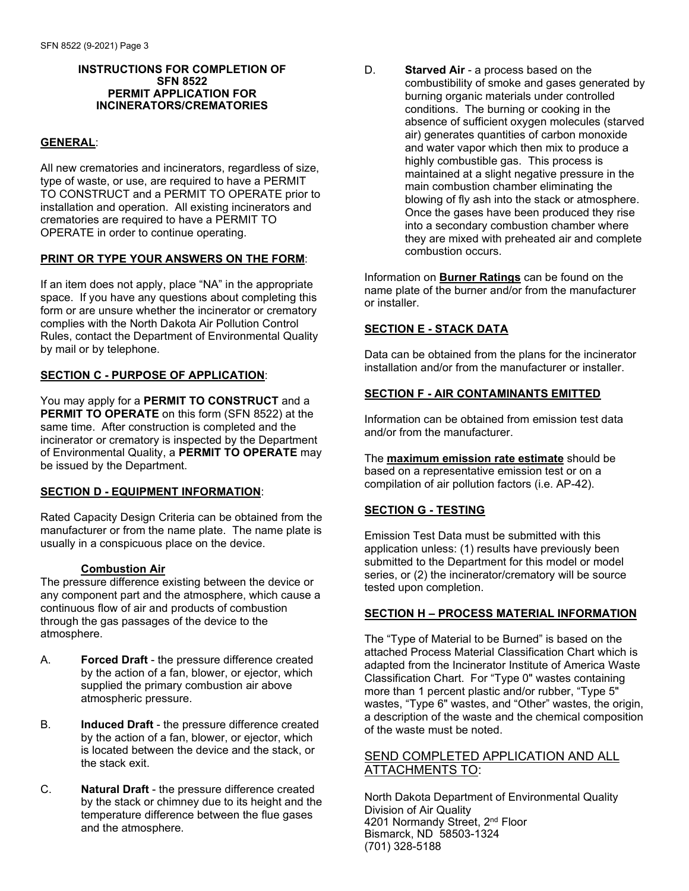#### **INSTRUCTIONS FOR COMPLETION OF SFN 8522 PERMIT APPLICATION FOR INCINERATORS/CREMATORIES**

### **GENERAL**:

All new crematories and incinerators, regardless of size, type of waste, or use, are required to have a PERMIT TO CONSTRUCT and a PERMIT TO OPERATE prior to installation and operation. All existing incinerators and crematories are required to have a PERMIT TO OPERATE in order to continue operating.

#### **PRINT OR TYPE YOUR ANSWERS ON THE FORM**:

If an item does not apply, place "NA" in the appropriate space. If you have any questions about completing this form or are unsure whether the incinerator or crematory complies with the North Dakota Air Pollution Control Rules, contact the Department of Environmental Quality by mail or by telephone.

#### **SECTION C - PURPOSE OF APPLICATION**:

You may apply for a **PERMIT TO CONSTRUCT** and a **PERMIT TO OPERATE** on this form (SFN 8522) at the same time. After construction is completed and the incinerator or crematory is inspected by the Department of Environmental Quality, a **PERMIT TO OPERATE** may be issued by the Department.

### **SECTION D - EQUIPMENT INFORMATION**:

Rated Capacity Design Criteria can be obtained from the manufacturer or from the name plate. The name plate is usually in a conspicuous place on the device.

#### **Combustion Air**

The pressure difference existing between the device or any component part and the atmosphere, which cause a continuous flow of air and products of combustion through the gas passages of the device to the atmosphere.

- A. **Forced Draft** the pressure difference created by the action of a fan, blower, or ejector, which supplied the primary combustion air above atmospheric pressure.
- B. **Induced Draft** the pressure difference created by the action of a fan, blower, or ejector, which is located between the device and the stack, or the stack exit.
- C. **Natural Draft** the pressure difference created by the stack or chimney due to its height and the temperature difference between the flue gases and the atmosphere.

D. **Starved Air** - a process based on the combustibility of smoke and gases generated by burning organic materials under controlled conditions. The burning or cooking in the absence of sufficient oxygen molecules (starved air) generates quantities of carbon monoxide and water vapor which then mix to produce a highly combustible gas. This process is maintained at a slight negative pressure in the main combustion chamber eliminating the blowing of fly ash into the stack or atmosphere. Once the gases have been produced they rise into a secondary combustion chamber where they are mixed with preheated air and complete combustion occurs.

Information on **Burner Ratings** can be found on the name plate of the burner and/or from the manufacturer or installer.

### **SECTION E - STACK DATA**

Data can be obtained from the plans for the incinerator installation and/or from the manufacturer or installer.

### **SECTION F - AIR CONTAMINANTS EMITTED**

Information can be obtained from emission test data and/or from the manufacturer.

The **maximum emission rate estimate** should be based on a representative emission test or on a compilation of air pollution factors (i.e. AP-42).

### **SECTION G - TESTING**

Emission Test Data must be submitted with this application unless: (1) results have previously been submitted to the Department for this model or model series, or (2) the incinerator/crematory will be source tested upon completion.

#### **SECTION H – PROCESS MATERIAL INFORMATION**

The "Type of Material to be Burned" is based on the attached Process Material Classification Chart which is adapted from the Incinerator Institute of America Waste Classification Chart. For "Type 0" wastes containing more than 1 percent plastic and/or rubber, "Type 5" wastes, "Type 6" wastes, and "Other" wastes, the origin, a description of the waste and the chemical composition of the waste must be noted.

### SEND COMPLETED APPLICATION AND ALL ATTACHMENTS TO:

North Dakota Department of Environmental Quality Division of Air Quality 4201 Normandy Street, 2<sup>nd</sup> Floor Bismarck, ND 58503-1324 (701) 328-5188